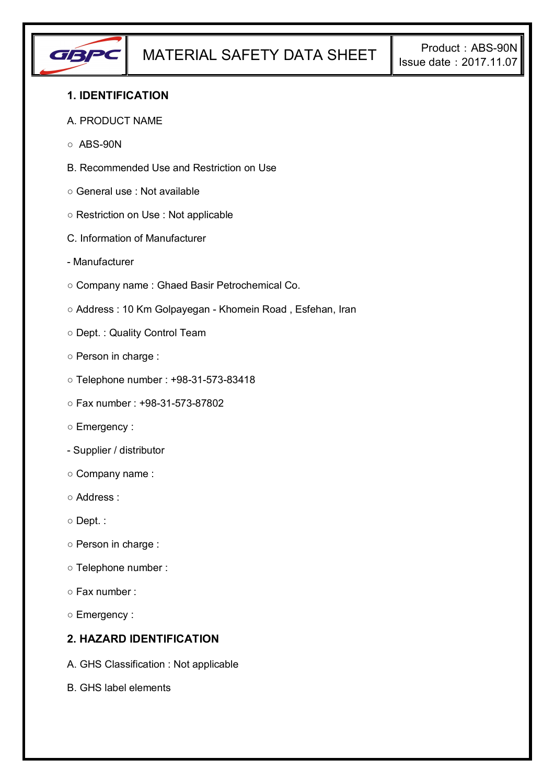

## **1. IDENTIFICATION**

#### A. PRODUCT NAME

- $\circ$  ABS-90N
- B. Recommended Use and Restriction on Use
- General use : Not available
- Restriction on Use : Not applicable
- C. Information of Manufacturer
- Manufacturer
- Company name : Ghaed Basir Petrochemical Co.
- Address : 10 Km Golpayegan Khomein Road , Esfehan, Iran
- Dept. : Quality Control Team
- Person in charge :
- Telephone number : +98-31-573-83418
- Fax number : +98-31-573-87802
- Emergency :
- Supplier / distributor
- Company name :
- Address :
- Dept. :
- Person in charge :
- Telephone number :
- Fax number :
- Emergency :

## **2. HAZARD IDENTIFICATION**

- A. GHS Classification : Not applicable
- B. GHS label elements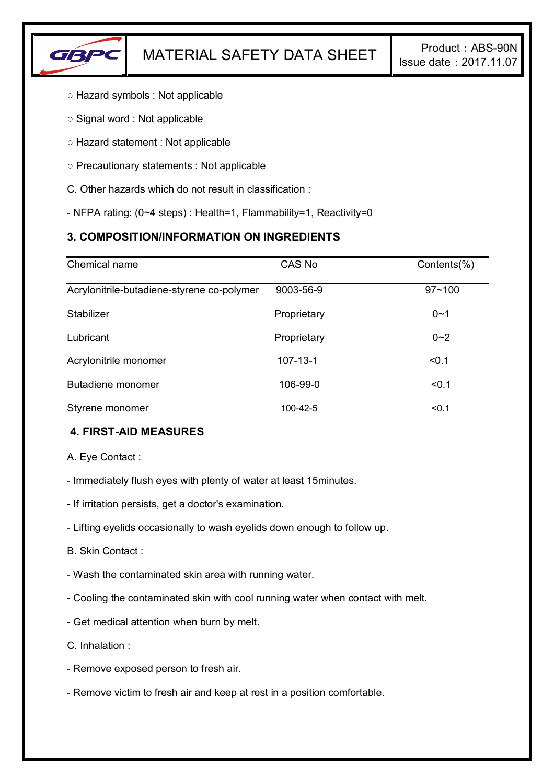

- Hazard symbols : Not applicable
- Signal word : Not applicable
- Hazard statement : Not applicable
- Precautionary statements : Not applicable
- C. Other hazards which do not result in classification :
- NFPA rating: (0~4 steps) : Health=1, Flammability=1, Reactivity=0

# **3. COMPOSITION/INFORMATION ON INGREDIENTS**

| Chemical name                              | CAS No         | Contents(%) |
|--------------------------------------------|----------------|-------------|
| Acrylonitrile-butadiene-styrene co-polymer | 9003-56-9      | $97 - 100$  |
| Stabilizer                                 | Proprietary    | $0 - 1$     |
| Lubricant                                  | Proprietary    | $0 - 2$     |
| Acrylonitrile monomer                      | $107 - 13 - 1$ | < 0.1       |
| Butadiene monomer                          | 106-99-0       | < 0.1       |
| Styrene monomer                            | 100-42-5       | < 0.1       |

# **4. FIRST-AID MEASURES**

A. Eye Contact :

- Immediately flush eyes with plenty of water at least 15minutes.
- If irritation persists, get a doctor's examination.
- Lifting eyelids occasionally to wash eyelids down enough to follow up.
- B. Skin Contact :
- Wash the contaminated skin area with running water.
- Cooling the contaminated skin with cool running water when contact with melt.
- Get medical attention when burn by melt.
- C. Inhalation :
- Remove exposed person to fresh air.
- Remove victim to fresh air and keep at rest in a position comfortable.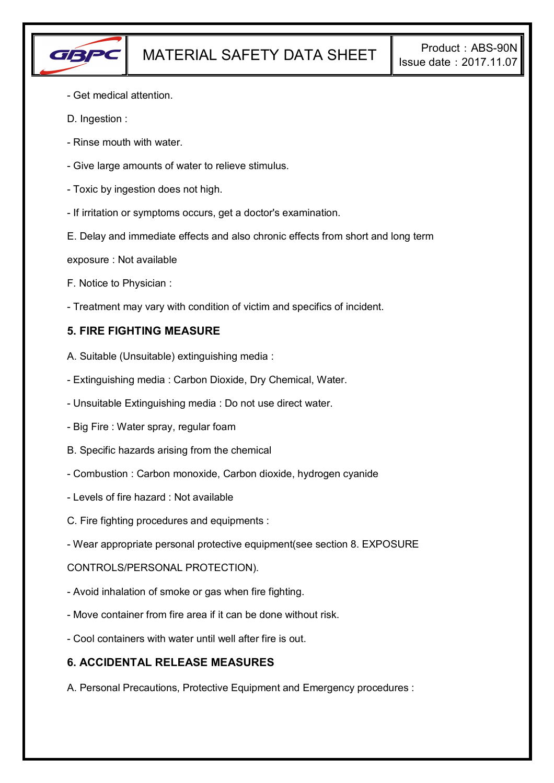

- Get medical attention.
- D. Ingestion :
- Rinse mouth with water.
- Give large amounts of water to relieve stimulus.
- Toxic by ingestion does not high.
- If irritation or symptoms occurs, get a doctor's examination.
- E. Delay and immediate effects and also chronic effects from short and long term
- exposure : Not available
- F. Notice to Physician :
- Treatment may vary with condition of victim and specifics of incident.

## **5. FIRE FIGHTING MEASURE**

- A. Suitable (Unsuitable) extinguishing media :
- Extinguishing media : Carbon Dioxide, Dry Chemical, Water.
- Unsuitable Extinguishing media : Do not use direct water.
- Big Fire : Water spray, regular foam
- B. Specific hazards arising from the chemical
- Combustion : Carbon monoxide, Carbon dioxide, hydrogen cyanide
- Levels of fire hazard : Not available
- C. Fire fighting procedures and equipments :
- Wear appropriate personal protective equipment(see section 8. EXPOSURE

### CONTROLS/PERSONAL PROTECTION).

- Avoid inhalation of smoke or gas when fire fighting.
- Move container from fire area if it can be done without risk.
- Cool containers with water until well after fire is out.

### **6. ACCIDENTAL RELEASE MEASURES**

A. Personal Precautions, Protective Equipment and Emergency procedures :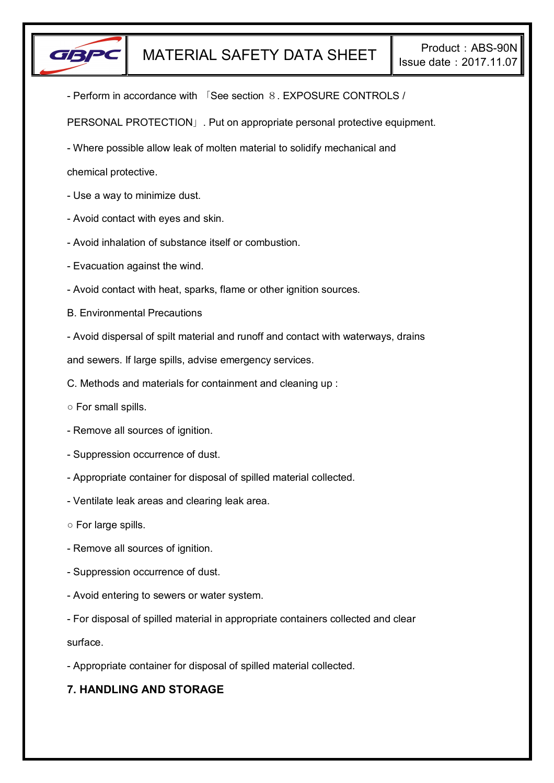

- Perform in accordance with 「See section 8. EXPOSURE CONTROLS /

PERSONAL PROTECTION」. Put on appropriate personal protective equipment.

- Where possible allow leak of molten material to solidify mechanical and

chemical protective.

- Use a way to minimize dust.
- Avoid contact with eyes and skin.
- Avoid inhalation of substance itself or combustion.
- Evacuation against the wind.
- Avoid contact with heat, sparks, flame or other ignition sources.
- B. Environmental Precautions
- Avoid dispersal of spilt material and runoff and contact with waterways, drains

and sewers. If large spills, advise emergency services.

- C. Methods and materials for containment and cleaning up :
- For small spills.
- Remove all sources of ignition.
- Suppression occurrence of dust.
- Appropriate container for disposal of spilled material collected.
- Ventilate leak areas and clearing leak area.
- For large spills.
- Remove all sources of ignition.
- Suppression occurrence of dust.
- Avoid entering to sewers or water system.
- For disposal of spilled material in appropriate containers collected and clear

surface.

- Appropriate container for disposal of spilled material collected.

# **7. HANDLING AND STORAGE**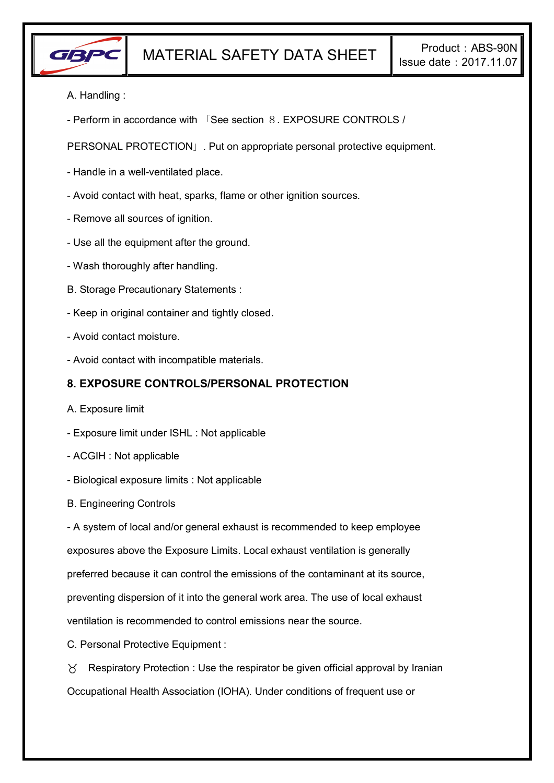

- A. Handling :
- Perform in accordance with 「See section 8. EXPOSURE CONTROLS /

PERSONAL PROTECTION」. Put on appropriate personal protective equipment.

- Handle in a well-ventilated place.
- Avoid contact with heat, sparks, flame or other ignition sources.
- Remove all sources of ignition.
- Use all the equipment after the ground.
- Wash thoroughly after handling.
- B. Storage Precautionary Statements :
- Keep in original container and tightly closed.
- Avoid contact moisture.
- Avoid contact with incompatible materials.

### **8. EXPOSURE CONTROLS/PERSONAL PROTECTION**

- A. Exposure limit
- Exposure limit under ISHL : Not applicable
- ACGIH : Not applicable
- Biological exposure limits : Not applicable
- B. Engineering Controls

- A system of local and/or general exhaust is recommended to keep employee exposures above the Exposure Limits. Local exhaust ventilation is generally preferred because it can control the emissions of the contaminant at its source, preventing dispersion of it into the general work area. The use of local exhaust ventilation is recommended to control emissions near the source.

C. Personal Protective Equipment :

 $\gamma$  Respiratory Protection : Use the respirator be given official approval by Iranian Occupational Health Association (IOHA). Under conditions of frequent use or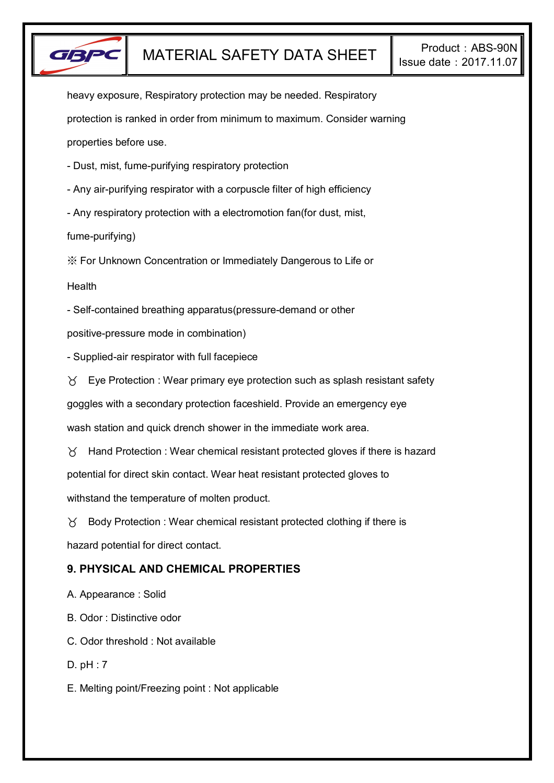

heavy exposure, Respiratory protection may be needed. Respiratory protection is ranked in order from minimum to maximum. Consider warning properties before use.

- Dust, mist, fume-purifying respiratory protection

- Any air-purifying respirator with a corpuscle filter of high efficiency

- Any respiratory protection with a electromotion fan(for dust, mist,

fume-purifying)

※ For Unknown Concentration or Immediately Dangerous to Life or

**Health** 

- Self-contained breathing apparatus(pressure-demand or other

positive-pressure mode in combination)

- Supplied-air respirator with full facepiece

 $\forall$  Eye Protection : Wear primary eye protection such as splash resistant safety

goggles with a secondary protection faceshield. Provide an emergency eye

wash station and quick drench shower in the immediate work area.

 $\gamma$  Hand Protection : Wear chemical resistant protected gloves if there is hazard potential for direct skin contact. Wear heat resistant protected gloves to withstand the temperature of molten product.

 $\gamma$  Body Protection : Wear chemical resistant protected clothing if there is hazard potential for direct contact.

# **9. PHYSICAL AND CHEMICAL PROPERTIES**

A. Appearance : Solid

B. Odor : Distinctive odor

C. Odor threshold : Not available

D. pH : 7

E. Melting point/Freezing point : Not applicable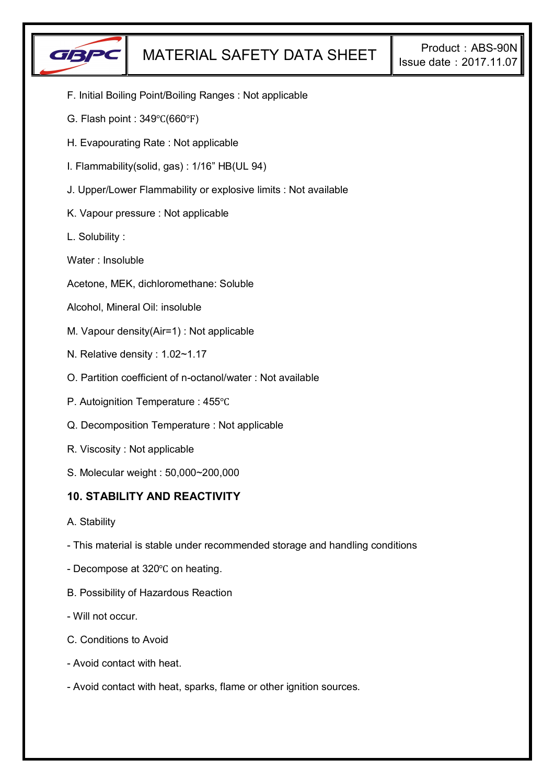

- F. Initial Boiling Point/Boiling Ranges : Not applicable
- G. Flash point : 349℃(660℉)
- H. Evapourating Rate : Not applicable
- I. Flammability(solid, gas) : 1/16" HB(UL 94)
- J. Upper/Lower Flammability or explosive limits : Not available
- K. Vapour pressure : Not applicable
- L. Solubility :
- Water : Insoluble
- Acetone, MEK, dichloromethane: Soluble
- Alcohol, Mineral Oil: insoluble
- M. Vapour density(Air=1) : Not applicable
- N. Relative density : 1.02~1.17
- O. Partition coefficient of n-octanol/water : Not available
- P. Autoignition Temperature : 455℃
- Q. Decomposition Temperature : Not applicable
- R. Viscosity : Not applicable
- S. Molecular weight : 50,000~200,000

### **10. STABILITY AND REACTIVITY**

- A. Stability
- This material is stable under recommended storage and handling conditions
- Decompose at 320℃ on heating.
- B. Possibility of Hazardous Reaction
- Will not occur.
- C. Conditions to Avoid
- Avoid contact with heat.
- Avoid contact with heat, sparks, flame or other ignition sources.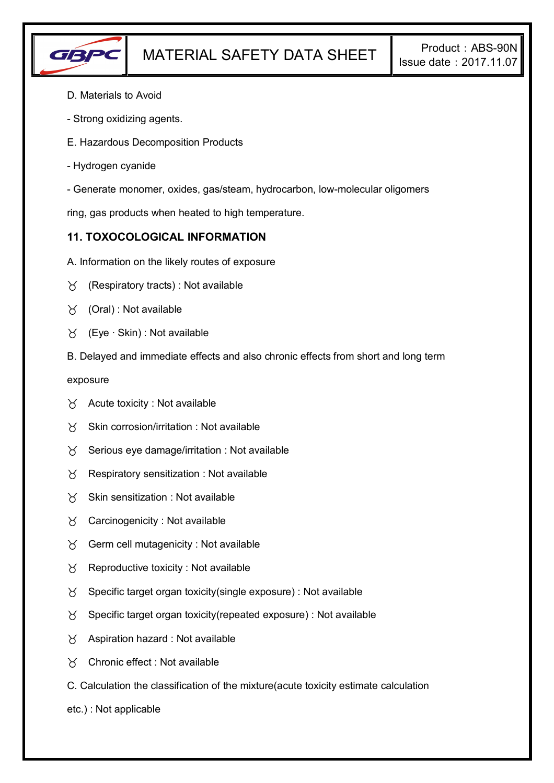

- D. Materials to Avoid
- Strong oxidizing agents.
- E. Hazardous Decomposition Products
- Hydrogen cyanide
- Generate monomer, oxides, gas/steam, hydrocarbon, low-molecular oligomers

ring, gas products when heated to high temperature.

## **11. TOXOCOLOGICAL INFORMATION**

- A. Information on the likely routes of exposure
- $\forall$  (Respiratory tracts) : Not available
- $\forall$  (Oral): Not available
- (Eye ∙ Skin) : Not available
- B. Delayed and immediate effects and also chronic effects from short and long term

exposure

- $\forall$  Acute toxicity : Not available
- $\gamma$  Skin corrosion/irritation : Not available
- $\gamma$  Serious eye damage/irritation : Not available
- $\gamma$  Respiratory sensitization : Not available
- $X$  Skin sensitization : Not available
- Carcinogenicity : Not available
- $\gamma$  Germ cell mutagenicity : Not available
- $\gamma$  Reproductive toxicity : Not available
- $\gamma$  Specific target organ toxicity(single exposure) : Not available
- $\gamma$  Specific target organ toxicity(repeated exposure) : Not available
- $\chi$  Aspiration hazard : Not available
- Chronic effect : Not available
- C. Calculation the classification of the mixture(acute toxicity estimate calculation
- etc.) : Not applicable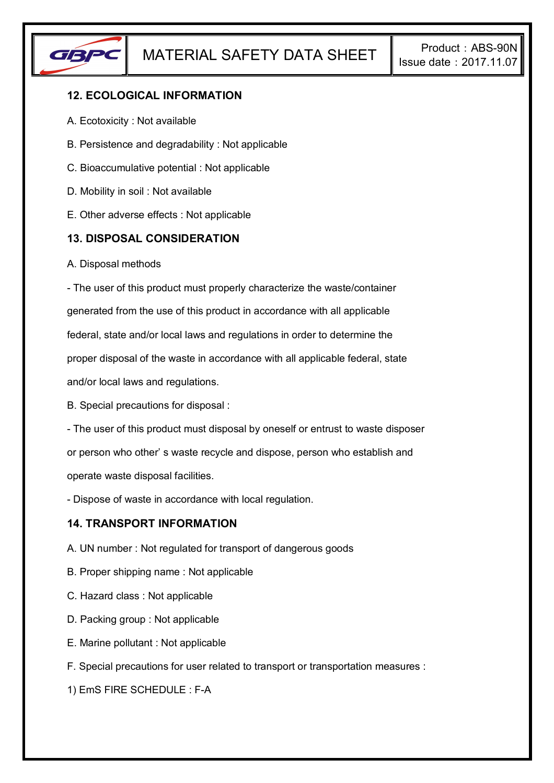

# **12. ECOLOGICAL INFORMATION**

- A. Ecotoxicity : Not available
- B. Persistence and degradability : Not applicable
- C. Bioaccumulative potential : Not applicable
- D. Mobility in soil : Not available
- E. Other adverse effects : Not applicable

### **13. DISPOSAL CONSIDERATION**

A. Disposal methods

- The user of this product must properly characterize the waste/container generated from the use of this product in accordance with all applicable federal, state and/or local laws and regulations in order to determine the proper disposal of the waste in accordance with all applicable federal, state and/or local laws and regulations.

B. Special precautions for disposal :

- The user of this product must disposal by oneself or entrust to waste disposer or person who other' s waste recycle and dispose, person who establish and operate waste disposal facilities.

- Dispose of waste in accordance with local regulation.

### **14. TRANSPORT INFORMATION**

- A. UN number : Not regulated for transport of dangerous goods
- B. Proper shipping name : Not applicable
- C. Hazard class : Not applicable
- D. Packing group : Not applicable
- E. Marine pollutant : Not applicable
- F. Special precautions for user related to transport or transportation measures :

1) EmS FIRE SCHEDULE : F-A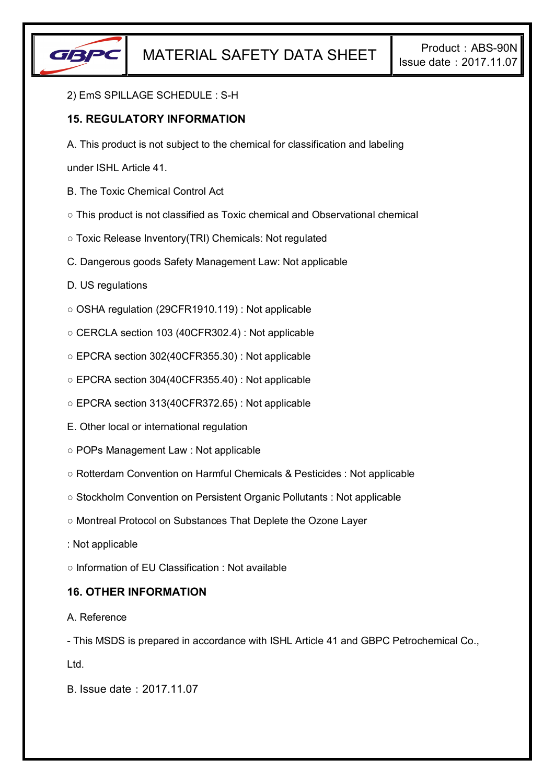

#### 2) EmS SPILLAGE SCHEDULE : S-H

## **15. REGULATORY INFORMATION**

A. This product is not subject to the chemical for classification and labeling

under ISHL Article 41.

- B. The Toxic Chemical Control Act
- This product is not classified as Toxic chemical and Observational chemical
- Toxic Release Inventory(TRI) Chemicals: Not regulated
- C. Dangerous goods Safety Management Law: Not applicable
- D. US regulations
- OSHA regulation (29CFR1910.119) : Not applicable
- CERCLA section 103 (40CFR302.4) : Not applicable
- EPCRA section 302(40CFR355.30) : Not applicable
- EPCRA section 304(40CFR355.40) : Not applicable
- EPCRA section 313(40CFR372.65) : Not applicable
- E. Other local or international regulation
- POPs Management Law : Not applicable
- Rotterdam Convention on Harmful Chemicals & Pesticides : Not applicable
- Stockholm Convention on Persistent Organic Pollutants : Not applicable
- Montreal Protocol on Substances That Deplete the Ozone Layer
- : Not applicable
- Information of EU Classification : Not available

### **16. OTHER INFORMATION**

#### A. Reference

- This MSDS is prepared in accordance with ISHL Article 41 and GBPC Petrochemical Co.,

Ltd.

B. Issue date:2017.11.07